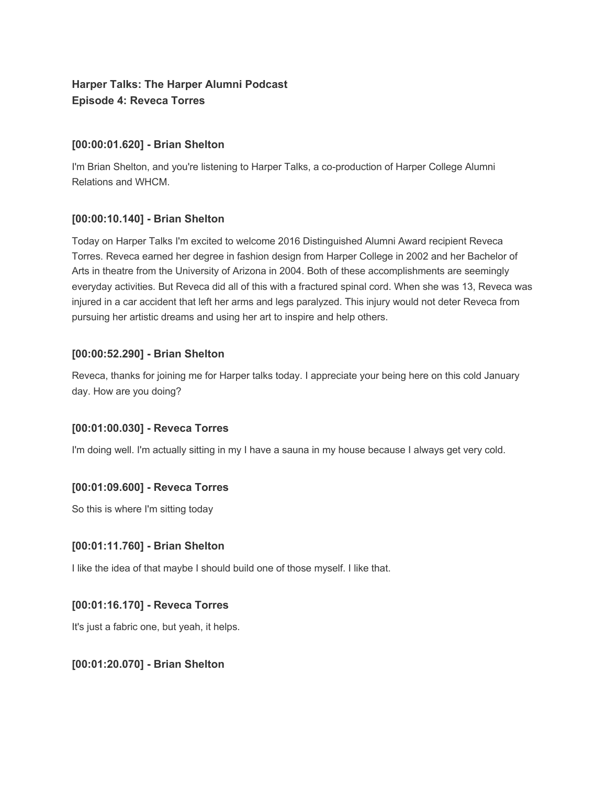# **Harper Talks: The Harper Alumni Podcast Episode 4: Reveca Torres**

## **[00:00:01.620] - Brian Shelton**

I'm Brian Shelton, and you're listening to Harper Talks, a co-production of Harper College Alumni Relations and WHCM.

## **[00:00:10.140] - Brian Shelton**

Today on Harper Talks I'm excited to welcome 2016 Distinguished Alumni Award recipient Reveca Torres. Reveca earned her degree in fashion design from Harper College in 2002 and her Bachelor of Arts in theatre from the University of Arizona in 2004. Both of these accomplishments are seemingly everyday activities. But Reveca did all of this with a fractured spinal cord. When she was 13, Reveca was injured in a car accident that left her arms and legs paralyzed. This injury would not deter Reveca from pursuing her artistic dreams and using her art to inspire and help others.

## **[00:00:52.290] - Brian Shelton**

Reveca, thanks for joining me for Harper talks today. I appreciate your being here on this cold January day. How are you doing?

## **[00:01:00.030] - Reveca Torres**

I'm doing well. I'm actually sitting in my I have a sauna in my house because I always get very cold.

## **[00:01:09.600] - Reveca Torres**

So this is where I'm sitting today

## **[00:01:11.760] - Brian Shelton**

I like the idea of that maybe I should build one of those myself. I like that.

## **[00:01:16.170] - Reveca Torres**

It's just a fabric one, but yeah, it helps.

## **[00:01:20.070] - Brian Shelton**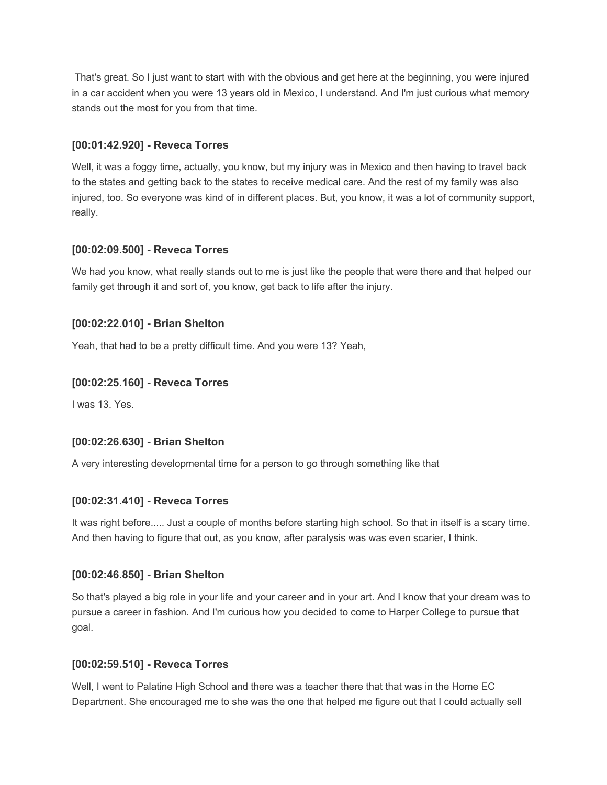That's great. So I just want to start with with the obvious and get here at the beginning, you were injured in a car accident when you were 13 years old in Mexico, I understand. And I'm just curious what memory stands out the most for you from that time.

## **[00:01:42.920] - Reveca Torres**

Well, it was a foggy time, actually, you know, but my injury was in Mexico and then having to travel back to the states and getting back to the states to receive medical care. And the rest of my family was also injured, too. So everyone was kind of in different places. But, you know, it was a lot of community support, really.

## **[00:02:09.500] - Reveca Torres**

We had you know, what really stands out to me is just like the people that were there and that helped our family get through it and sort of, you know, get back to life after the injury.

### **[00:02:22.010] - Brian Shelton**

Yeah, that had to be a pretty difficult time. And you were 13? Yeah,

### **[00:02:25.160] - Reveca Torres**

I was 13. Yes.

### **[00:02:26.630] - Brian Shelton**

A very interesting developmental time for a person to go through something like that

### **[00:02:31.410] - Reveca Torres**

It was right before..... Just a couple of months before starting high school. So that in itself is a scary time. And then having to figure that out, as you know, after paralysis was was even scarier, I think.

### **[00:02:46.850] - Brian Shelton**

So that's played a big role in your life and your career and in your art. And I know that your dream was to pursue a career in fashion. And I'm curious how you decided to come to Harper College to pursue that goal.

### **[00:02:59.510] - Reveca Torres**

Well, I went to Palatine High School and there was a teacher there that that was in the Home EC Department. She encouraged me to she was the one that helped me figure out that I could actually sell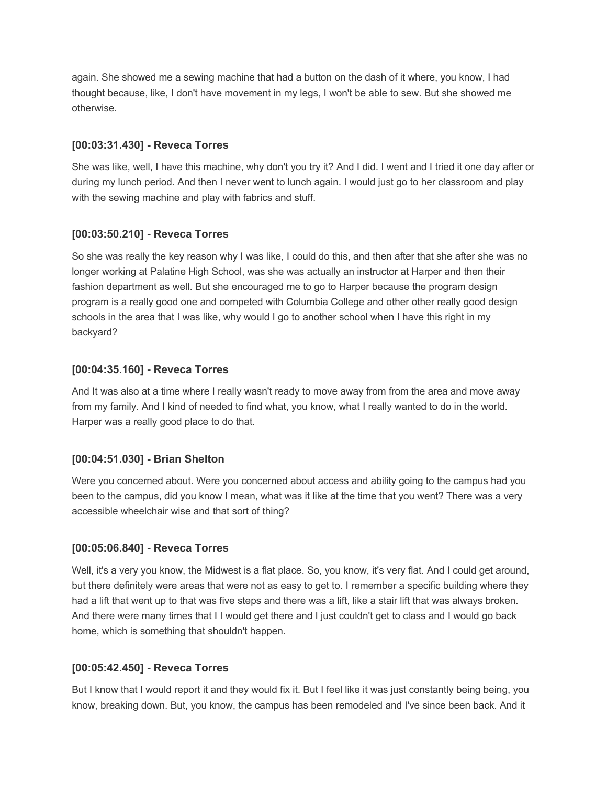again. She showed me a sewing machine that had a button on the dash of it where, you know, I had thought because, like, I don't have movement in my legs, I won't be able to sew. But she showed me otherwise.

## **[00:03:31.430] - Reveca Torres**

She was like, well, I have this machine, why don't you try it? And I did. I went and I tried it one day after or during my lunch period. And then I never went to lunch again. I would just go to her classroom and play with the sewing machine and play with fabrics and stuff.

## **[00:03:50.210] - Reveca Torres**

So she was really the key reason why I was like, I could do this, and then after that she after she was no longer working at Palatine High School, was she was actually an instructor at Harper and then their fashion department as well. But she encouraged me to go to Harper because the program design program is a really good one and competed with Columbia College and other other really good design schools in the area that I was like, why would I go to another school when I have this right in my backyard?

## **[00:04:35.160] - Reveca Torres**

And It was also at a time where I really wasn't ready to move away from from the area and move away from my family. And I kind of needed to find what, you know, what I really wanted to do in the world. Harper was a really good place to do that.

## **[00:04:51.030] - Brian Shelton**

Were you concerned about. Were you concerned about access and ability going to the campus had you been to the campus, did you know I mean, what was it like at the time that you went? There was a very accessible wheelchair wise and that sort of thing?

## **[00:05:06.840] - Reveca Torres**

Well, it's a very you know, the Midwest is a flat place. So, you know, it's very flat. And I could get around, but there definitely were areas that were not as easy to get to. I remember a specific building where they had a lift that went up to that was five steps and there was a lift, like a stair lift that was always broken. And there were many times that I I would get there and I just couldn't get to class and I would go back home, which is something that shouldn't happen.

## **[00:05:42.450] - Reveca Torres**

But I know that I would report it and they would fix it. But I feel like it was just constantly being being, you know, breaking down. But, you know, the campus has been remodeled and I've since been back. And it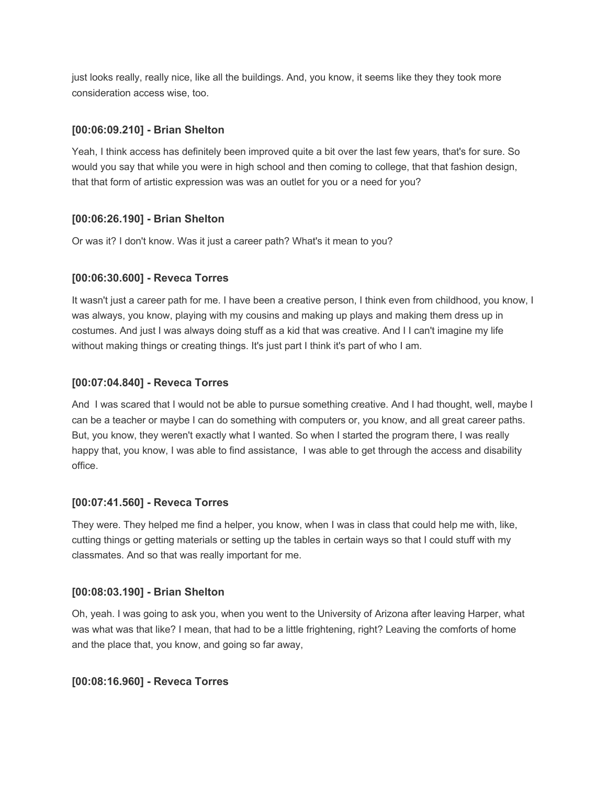just looks really, really nice, like all the buildings. And, you know, it seems like they they took more consideration access wise, too.

## **[00:06:09.210] - Brian Shelton**

Yeah, I think access has definitely been improved quite a bit over the last few years, that's for sure. So would you say that while you were in high school and then coming to college, that that fashion design, that that form of artistic expression was was an outlet for you or a need for you?

## **[00:06:26.190] - Brian Shelton**

Or was it? I don't know. Was it just a career path? What's it mean to you?

## **[00:06:30.600] - Reveca Torres**

It wasn't just a career path for me. I have been a creative person, I think even from childhood, you know, I was always, you know, playing with my cousins and making up plays and making them dress up in costumes. And just I was always doing stuff as a kid that was creative. And I I can't imagine my life without making things or creating things. It's just part I think it's part of who I am.

## **[00:07:04.840] - Reveca Torres**

And I was scared that I would not be able to pursue something creative. And I had thought, well, maybe I can be a teacher or maybe I can do something with computers or, you know, and all great career paths. But, you know, they weren't exactly what I wanted. So when I started the program there, I was really happy that, you know, I was able to find assistance, I was able to get through the access and disability office.

## **[00:07:41.560] - Reveca Torres**

They were. They helped me find a helper, you know, when I was in class that could help me with, like, cutting things or getting materials or setting up the tables in certain ways so that I could stuff with my classmates. And so that was really important for me.

## **[00:08:03.190] - Brian Shelton**

Oh, yeah. I was going to ask you, when you went to the University of Arizona after leaving Harper, what was what was that like? I mean, that had to be a little frightening, right? Leaving the comforts of home and the place that, you know, and going so far away,

## **[00:08:16.960] - Reveca Torres**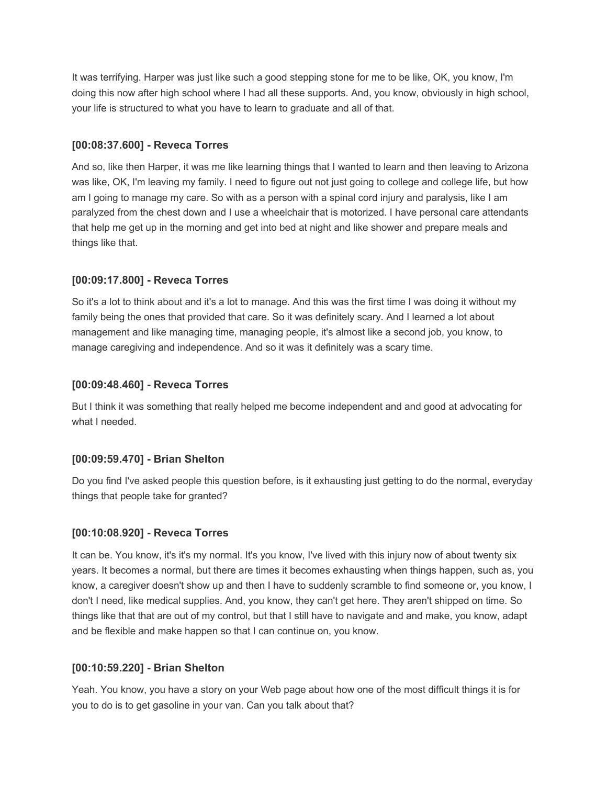It was terrifying. Harper was just like such a good stepping stone for me to be like, OK, you know, I'm doing this now after high school where I had all these supports. And, you know, obviously in high school, your life is structured to what you have to learn to graduate and all of that.

### **[00:08:37.600] - Reveca Torres**

And so, like then Harper, it was me like learning things that I wanted to learn and then leaving to Arizona was like, OK, I'm leaving my family. I need to figure out not just going to college and college life, but how am I going to manage my care. So with as a person with a spinal cord injury and paralysis, like I am paralyzed from the chest down and I use a wheelchair that is motorized. I have personal care attendants that help me get up in the morning and get into bed at night and like shower and prepare meals and things like that.

### **[00:09:17.800] - Reveca Torres**

So it's a lot to think about and it's a lot to manage. And this was the first time I was doing it without my family being the ones that provided that care. So it was definitely scary. And I learned a lot about management and like managing time, managing people, it's almost like a second job, you know, to manage caregiving and independence. And so it was it definitely was a scary time.

### **[00:09:48.460] - Reveca Torres**

But I think it was something that really helped me become independent and and good at advocating for what I needed.

### **[00:09:59.470] - Brian Shelton**

Do you find I've asked people this question before, is it exhausting just getting to do the normal, everyday things that people take for granted?

### **[00:10:08.920] - Reveca Torres**

It can be. You know, it's it's my normal. It's you know, I've lived with this injury now of about twenty six years. It becomes a normal, but there are times it becomes exhausting when things happen, such as, you know, a caregiver doesn't show up and then I have to suddenly scramble to find someone or, you know, I don't I need, like medical supplies. And, you know, they can't get here. They aren't shipped on time. So things like that that are out of my control, but that I still have to navigate and and make, you know, adapt and be flexible and make happen so that I can continue on, you know.

### **[00:10:59.220] - Brian Shelton**

Yeah. You know, you have a story on your Web page about how one of the most difficult things it is for you to do is to get gasoline in your van. Can you talk about that?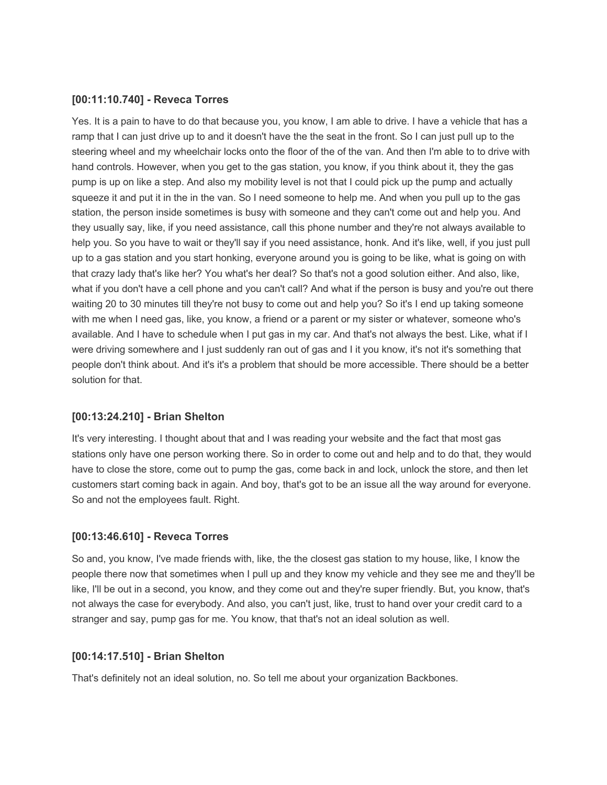### **[00:11:10.740] - Reveca Torres**

Yes. It is a pain to have to do that because you, you know, I am able to drive. I have a vehicle that has a ramp that I can just drive up to and it doesn't have the the seat in the front. So I can just pull up to the steering wheel and my wheelchair locks onto the floor of the of the van. And then I'm able to to drive with hand controls. However, when you get to the gas station, you know, if you think about it, they the gas pump is up on like a step. And also my mobility level is not that I could pick up the pump and actually squeeze it and put it in the in the van. So I need someone to help me. And when you pull up to the gas station, the person inside sometimes is busy with someone and they can't come out and help you. And they usually say, like, if you need assistance, call this phone number and they're not always available to help you. So you have to wait or they'll say if you need assistance, honk. And it's like, well, if you just pull up to a gas station and you start honking, everyone around you is going to be like, what is going on with that crazy lady that's like her? You what's her deal? So that's not a good solution either. And also, like, what if you don't have a cell phone and you can't call? And what if the person is busy and you're out there waiting 20 to 30 minutes till they're not busy to come out and help you? So it's I end up taking someone with me when I need gas, like, you know, a friend or a parent or my sister or whatever, someone who's available. And I have to schedule when I put gas in my car. And that's not always the best. Like, what if I were driving somewhere and I just suddenly ran out of gas and I it you know, it's not it's something that people don't think about. And it's it's a problem that should be more accessible. There should be a better solution for that.

## **[00:13:24.210] - Brian Shelton**

It's very interesting. I thought about that and I was reading your website and the fact that most gas stations only have one person working there. So in order to come out and help and to do that, they would have to close the store, come out to pump the gas, come back in and lock, unlock the store, and then let customers start coming back in again. And boy, that's got to be an issue all the way around for everyone. So and not the employees fault. Right.

## **[00:13:46.610] - Reveca Torres**

So and, you know, I've made friends with, like, the the closest gas station to my house, like, I know the people there now that sometimes when I pull up and they know my vehicle and they see me and they'll be like, I'll be out in a second, you know, and they come out and they're super friendly. But, you know, that's not always the case for everybody. And also, you can't just, like, trust to hand over your credit card to a stranger and say, pump gas for me. You know, that that's not an ideal solution as well.

### **[00:14:17.510] - Brian Shelton**

That's definitely not an ideal solution, no. So tell me about your organization Backbones.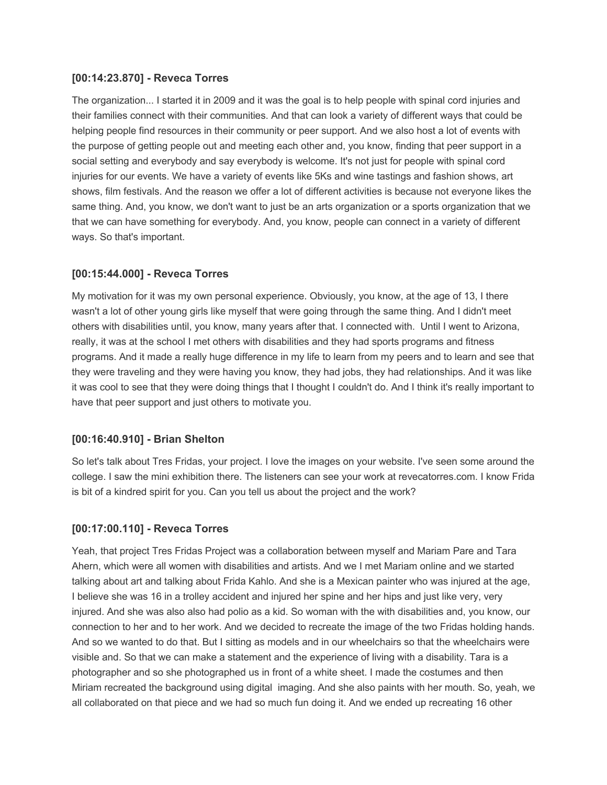### **[00:14:23.870] - Reveca Torres**

The organization... I started it in 2009 and it was the goal is to help people with spinal cord injuries and their families connect with their communities. And that can look a variety of different ways that could be helping people find resources in their community or peer support. And we also host a lot of events with the purpose of getting people out and meeting each other and, you know, finding that peer support in a social setting and everybody and say everybody is welcome. It's not just for people with spinal cord injuries for our events. We have a variety of events like 5Ks and wine tastings and fashion shows, art shows, film festivals. And the reason we offer a lot of different activities is because not everyone likes the same thing. And, you know, we don't want to just be an arts organization or a sports organization that we that we can have something for everybody. And, you know, people can connect in a variety of different ways. So that's important.

## **[00:15:44.000] - Reveca Torres**

My motivation for it was my own personal experience. Obviously, you know, at the age of 13, I there wasn't a lot of other young girls like myself that were going through the same thing. And I didn't meet others with disabilities until, you know, many years after that. I connected with. Until I went to Arizona, really, it was at the school I met others with disabilities and they had sports programs and fitness programs. And it made a really huge difference in my life to learn from my peers and to learn and see that they were traveling and they were having you know, they had jobs, they had relationships. And it was like it was cool to see that they were doing things that I thought I couldn't do. And I think it's really important to have that peer support and just others to motivate you.

## **[00:16:40.910] - Brian Shelton**

So let's talk about Tres Fridas, your project. I love the images on your website. I've seen some around the college. I saw the mini exhibition there. The listeners can see your work at revecatorres.com. I know Frida is bit of a kindred spirit for you. Can you tell us about the project and the work?

## **[00:17:00.110] - Reveca Torres**

Yeah, that project Tres Fridas Project was a collaboration between myself and Mariam Pare and Tara Ahern, which were all women with disabilities and artists. And we I met Mariam online and we started talking about art and talking about Frida Kahlo. And she is a Mexican painter who was injured at the age, I believe she was 16 in a trolley accident and injured her spine and her hips and just like very, very injured. And she was also also had polio as a kid. So woman with the with disabilities and, you know, our connection to her and to her work. And we decided to recreate the image of the two Fridas holding hands. And so we wanted to do that. But I sitting as models and in our wheelchairs so that the wheelchairs were visible and. So that we can make a statement and the experience of living with a disability. Tara is a photographer and so she photographed us in front of a white sheet. I made the costumes and then Miriam recreated the background using digital imaging. And she also paints with her mouth. So, yeah, we all collaborated on that piece and we had so much fun doing it. And we ended up recreating 16 other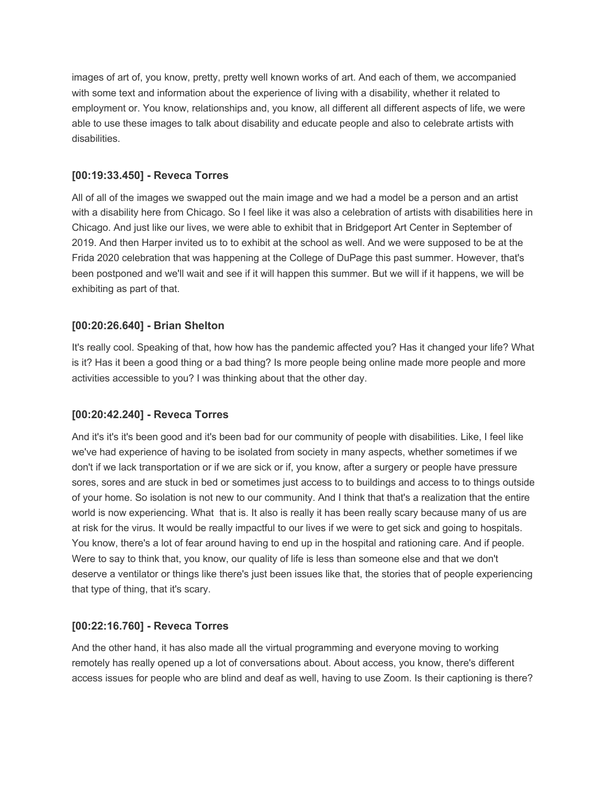images of art of, you know, pretty, pretty well known works of art. And each of them, we accompanied with some text and information about the experience of living with a disability, whether it related to employment or. You know, relationships and, you know, all different all different aspects of life, we were able to use these images to talk about disability and educate people and also to celebrate artists with disabilities.

## **[00:19:33.450] - Reveca Torres**

All of all of the images we swapped out the main image and we had a model be a person and an artist with a disability here from Chicago. So I feel like it was also a celebration of artists with disabilities here in Chicago. And just like our lives, we were able to exhibit that in Bridgeport Art Center in September of 2019. And then Harper invited us to to exhibit at the school as well. And we were supposed to be at the Frida 2020 celebration that was happening at the College of DuPage this past summer. However, that's been postponed and we'll wait and see if it will happen this summer. But we will if it happens, we will be exhibiting as part of that.

## **[00:20:26.640] - Brian Shelton**

It's really cool. Speaking of that, how how has the pandemic affected you? Has it changed your life? What is it? Has it been a good thing or a bad thing? Is more people being online made more people and more activities accessible to you? I was thinking about that the other day.

## **[00:20:42.240] - Reveca Torres**

And it's it's it's been good and it's been bad for our community of people with disabilities. Like, I feel like we've had experience of having to be isolated from society in many aspects, whether sometimes if we don't if we lack transportation or if we are sick or if, you know, after a surgery or people have pressure sores, sores and are stuck in bed or sometimes just access to to buildings and access to to things outside of your home. So isolation is not new to our community. And I think that that's a realization that the entire world is now experiencing. What that is. It also is really it has been really scary because many of us are at risk for the virus. It would be really impactful to our lives if we were to get sick and going to hospitals. You know, there's a lot of fear around having to end up in the hospital and rationing care. And if people. Were to say to think that, you know, our quality of life is less than someone else and that we don't deserve a ventilator or things like there's just been issues like that, the stories that of people experiencing that type of thing, that it's scary.

## **[00:22:16.760] - Reveca Torres**

And the other hand, it has also made all the virtual programming and everyone moving to working remotely has really opened up a lot of conversations about. About access, you know, there's different access issues for people who are blind and deaf as well, having to use Zoom. Is their captioning is there?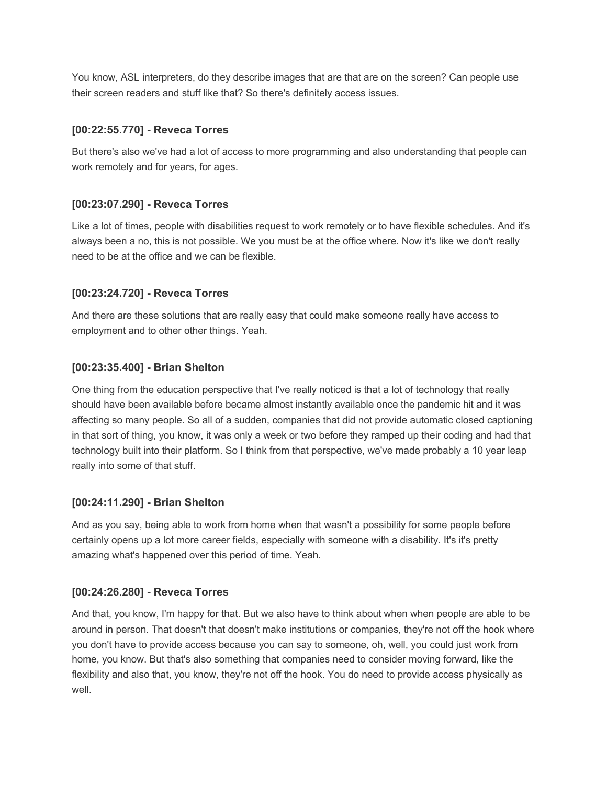You know, ASL interpreters, do they describe images that are that are on the screen? Can people use their screen readers and stuff like that? So there's definitely access issues.

## **[00:22:55.770] - Reveca Torres**

But there's also we've had a lot of access to more programming and also understanding that people can work remotely and for years, for ages.

## **[00:23:07.290] - Reveca Torres**

Like a lot of times, people with disabilities request to work remotely or to have flexible schedules. And it's always been a no, this is not possible. We you must be at the office where. Now it's like we don't really need to be at the office and we can be flexible.

### **[00:23:24.720] - Reveca Torres**

And there are these solutions that are really easy that could make someone really have access to employment and to other other things. Yeah.

### **[00:23:35.400] - Brian Shelton**

One thing from the education perspective that I've really noticed is that a lot of technology that really should have been available before became almost instantly available once the pandemic hit and it was affecting so many people. So all of a sudden, companies that did not provide automatic closed captioning in that sort of thing, you know, it was only a week or two before they ramped up their coding and had that technology built into their platform. So I think from that perspective, we've made probably a 10 year leap really into some of that stuff.

## **[00:24:11.290] - Brian Shelton**

And as you say, being able to work from home when that wasn't a possibility for some people before certainly opens up a lot more career fields, especially with someone with a disability. It's it's pretty amazing what's happened over this period of time. Yeah.

## **[00:24:26.280] - Reveca Torres**

And that, you know, I'm happy for that. But we also have to think about when when people are able to be around in person. That doesn't that doesn't make institutions or companies, they're not off the hook where you don't have to provide access because you can say to someone, oh, well, you could just work from home, you know. But that's also something that companies need to consider moving forward, like the flexibility and also that, you know, they're not off the hook. You do need to provide access physically as well.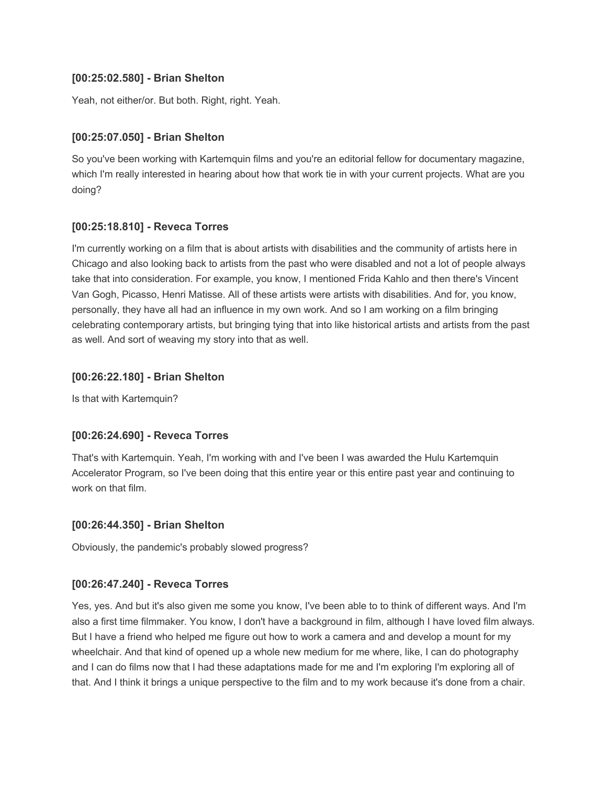### **[00:25:02.580] - Brian Shelton**

Yeah, not either/or. But both. Right, right. Yeah.

### **[00:25:07.050] - Brian Shelton**

So you've been working with Kartemquin films and you're an editorial fellow for documentary magazine, which I'm really interested in hearing about how that work tie in with your current projects. What are you doing?

### **[00:25:18.810] - Reveca Torres**

I'm currently working on a film that is about artists with disabilities and the community of artists here in Chicago and also looking back to artists from the past who were disabled and not a lot of people always take that into consideration. For example, you know, I mentioned Frida Kahlo and then there's Vincent Van Gogh, Picasso, Henri Matisse. All of these artists were artists with disabilities. And for, you know, personally, they have all had an influence in my own work. And so I am working on a film bringing celebrating contemporary artists, but bringing tying that into like historical artists and artists from the past as well. And sort of weaving my story into that as well.

### **[00:26:22.180] - Brian Shelton**

Is that with Kartemquin?

### **[00:26:24.690] - Reveca Torres**

That's with Kartemquin. Yeah, I'm working with and I've been I was awarded the Hulu Kartemquin Accelerator Program, so I've been doing that this entire year or this entire past year and continuing to work on that film.

### **[00:26:44.350] - Brian Shelton**

Obviously, the pandemic's probably slowed progress?

### **[00:26:47.240] - Reveca Torres**

Yes, yes. And but it's also given me some you know, I've been able to to think of different ways. And I'm also a first time filmmaker. You know, I don't have a background in film, although I have loved film always. But I have a friend who helped me figure out how to work a camera and and develop a mount for my wheelchair. And that kind of opened up a whole new medium for me where, like, I can do photography and I can do films now that I had these adaptations made for me and I'm exploring I'm exploring all of that. And I think it brings a unique perspective to the film and to my work because it's done from a chair.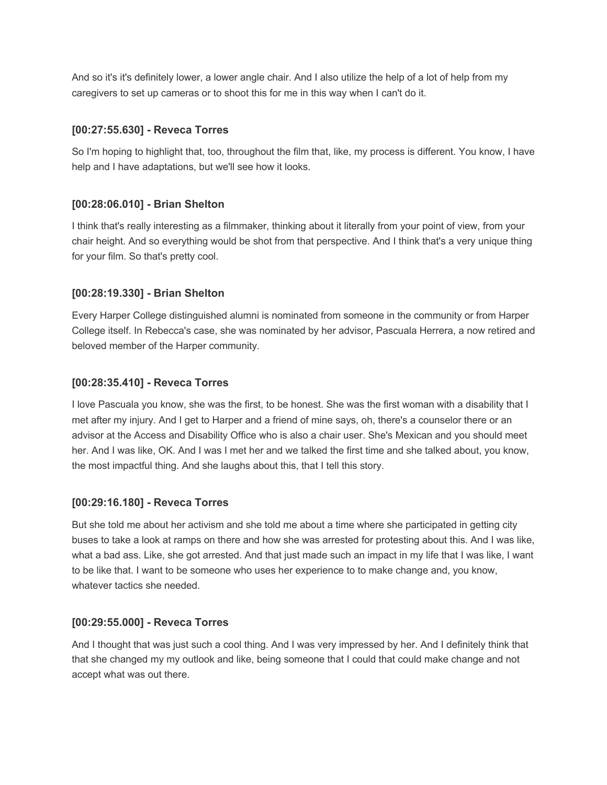And so it's it's definitely lower, a lower angle chair. And I also utilize the help of a lot of help from my caregivers to set up cameras or to shoot this for me in this way when I can't do it.

## **[00:27:55.630] - Reveca Torres**

So I'm hoping to highlight that, too, throughout the film that, like, my process is different. You know, I have help and I have adaptations, but we'll see how it looks.

## **[00:28:06.010] - Brian Shelton**

I think that's really interesting as a filmmaker, thinking about it literally from your point of view, from your chair height. And so everything would be shot from that perspective. And I think that's a very unique thing for your film. So that's pretty cool.

## **[00:28:19.330] - Brian Shelton**

Every Harper College distinguished alumni is nominated from someone in the community or from Harper College itself. In Rebecca's case, she was nominated by her advisor, Pascuala Herrera, a now retired and beloved member of the Harper community.

## **[00:28:35.410] - Reveca Torres**

I love Pascuala you know, she was the first, to be honest. She was the first woman with a disability that I met after my injury. And I get to Harper and a friend of mine says, oh, there's a counselor there or an advisor at the Access and Disability Office who is also a chair user. She's Mexican and you should meet her. And I was like, OK. And I was I met her and we talked the first time and she talked about, you know, the most impactful thing. And she laughs about this, that I tell this story.

## **[00:29:16.180] - Reveca Torres**

But she told me about her activism and she told me about a time where she participated in getting city buses to take a look at ramps on there and how she was arrested for protesting about this. And I was like, what a bad ass. Like, she got arrested. And that just made such an impact in my life that I was like, I want to be like that. I want to be someone who uses her experience to to make change and, you know, whatever tactics she needed

## **[00:29:55.000] - Reveca Torres**

And I thought that was just such a cool thing. And I was very impressed by her. And I definitely think that that she changed my my outlook and like, being someone that I could that could make change and not accept what was out there.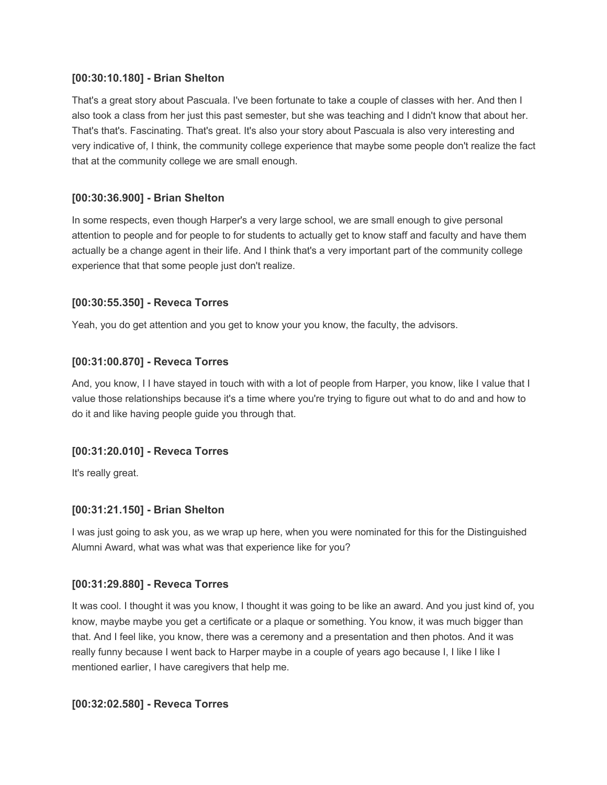### **[00:30:10.180] - Brian Shelton**

That's a great story about Pascuala. I've been fortunate to take a couple of classes with her. And then I also took a class from her just this past semester, but she was teaching and I didn't know that about her. That's that's. Fascinating. That's great. It's also your story about Pascuala is also very interesting and very indicative of, I think, the community college experience that maybe some people don't realize the fact that at the community college we are small enough.

## **[00:30:36.900] - Brian Shelton**

In some respects, even though Harper's a very large school, we are small enough to give personal attention to people and for people to for students to actually get to know staff and faculty and have them actually be a change agent in their life. And I think that's a very important part of the community college experience that that some people just don't realize.

## **[00:30:55.350] - Reveca Torres**

Yeah, you do get attention and you get to know your you know, the faculty, the advisors.

## **[00:31:00.870] - Reveca Torres**

And, you know, I I have stayed in touch with with a lot of people from Harper, you know, like I value that I value those relationships because it's a time where you're trying to figure out what to do and and how to do it and like having people guide you through that.

## **[00:31:20.010] - Reveca Torres**

It's really great.

## **[00:31:21.150] - Brian Shelton**

I was just going to ask you, as we wrap up here, when you were nominated for this for the Distinguished Alumni Award, what was what was that experience like for you?

## **[00:31:29.880] - Reveca Torres**

It was cool. I thought it was you know, I thought it was going to be like an award. And you just kind of, you know, maybe maybe you get a certificate or a plaque or something. You know, it was much bigger than that. And I feel like, you know, there was a ceremony and a presentation and then photos. And it was really funny because I went back to Harper maybe in a couple of years ago because I, I like I like I mentioned earlier, I have caregivers that help me.

## **[00:32:02.580] - Reveca Torres**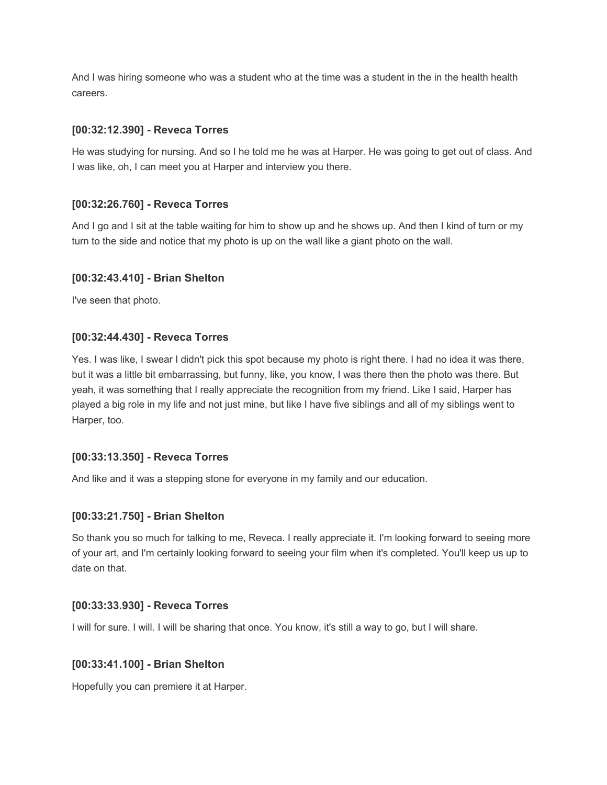And I was hiring someone who was a student who at the time was a student in the in the health health careers.

### **[00:32:12.390] - Reveca Torres**

He was studying for nursing. And so I he told me he was at Harper. He was going to get out of class. And I was like, oh, I can meet you at Harper and interview you there.

## **[00:32:26.760] - Reveca Torres**

And I go and I sit at the table waiting for him to show up and he shows up. And then I kind of turn or my turn to the side and notice that my photo is up on the wall like a giant photo on the wall.

### **[00:32:43.410] - Brian Shelton**

I've seen that photo.

### **[00:32:44.430] - Reveca Torres**

Yes. I was like, I swear I didn't pick this spot because my photo is right there. I had no idea it was there, but it was a little bit embarrassing, but funny, like, you know, I was there then the photo was there. But yeah, it was something that I really appreciate the recognition from my friend. Like I said, Harper has played a big role in my life and not just mine, but like I have five siblings and all of my siblings went to Harper, too.

### **[00:33:13.350] - Reveca Torres**

And like and it was a stepping stone for everyone in my family and our education.

### **[00:33:21.750] - Brian Shelton**

So thank you so much for talking to me, Reveca. I really appreciate it. I'm looking forward to seeing more of your art, and I'm certainly looking forward to seeing your film when it's completed. You'll keep us up to date on that.

### **[00:33:33.930] - Reveca Torres**

I will for sure. I will. I will be sharing that once. You know, it's still a way to go, but I will share.

### **[00:33:41.100] - Brian Shelton**

Hopefully you can premiere it at Harper.